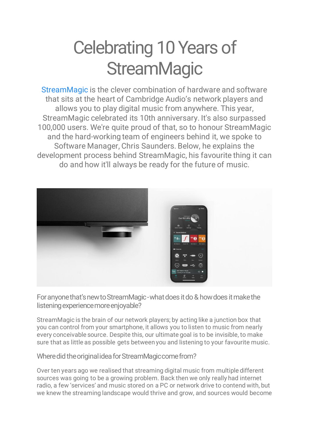## Celebrating 10 Years of **StreamMagic**

[StreamMagic](https://www.cambridgeaudio.com/gbr/en/products/streammagic) is the clever combination of hardware and software that sits at the heart of Cambridge Audio's network players and allows you to play digital music from anywhere. This year, StreamMagic celebrated its 10th anniversary. It's also surpassed 100,000 users. We're quite proud of that, so to honour StreamMagic and the hard-working team of engineers behind it, we spoke to Software Manager, Chris Saunders. Below, he explains the development process behind StreamMagic, his favourite thing it can do and how it'll always be ready for the future of music.



For anyone that's new to StreamMagic -what does it do & how does it make the listening experience more enjoyable?

StreamMagic is the brain of our network players; by acting like a junction box that you can control from your smartphone, it allows you to listen to music from nearly every conceivable source. Despite this, our ultimate goal is to be invisible, to make sure that as little as possible gets between you and listening to your favourite music.

Where did the original idea for StreamMagic come from?

Over ten years ago we realised that streaming digital music from multiple different sources was going to be a growing problem. Back then we only really had internet radio, a few 'services' and music stored on a PC or network drive to contend with, but we knew the streaming landscape would thrive and grow, and sources would become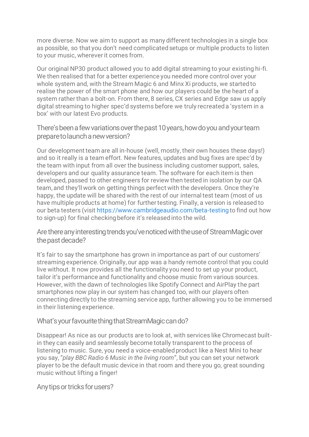more diverse. Now we aim to support as many different technologies in a single box as possible, so that you don't need complicated setups or multiple products to listen to your music, wherever it comes from.

Our original NP30 product allowed you to add digital streaming to your existing hi-fi. We then realised that for a better experience you needed more control over your whole system and, with the Stream Magic 6 and Minx Xi products, we started to realise the power of the smart phone and how our players could be the heart of a system rather than a bolt-on. From there, 8 series, CX series and Edge saw us apply digital streaming to higher spec'd systems before we truly recreated a 'system in a box' with our latest Evo products.

There's been a few variations over the past 10 years, how do you and your team prepare to launch a new version?

Our development team are all in-house (well, mostly, their own houses these days!) and so it really is a team effort. New features, updates and bug fixes are spec'd by the team with input from all over the business including customer support, sales, developers and our quality assurance team. The software for each item is then developed, passed to other engineers for review then tested in isolation by our QA team, and they'll work on getting things perfect with the developers. Once they're happy, the update will be shared with the rest of our internal test team (most of us have multiple products at home) for further testing. Finally, a version is released to our beta testers (visit <https://www.cambridgeaudio.com/beta-testing> to find out how to sign-up) for final checking before it's released into the wild.

Are there any interesting trends you've noticed with the use of StreamMagic over the past decade?

It's fair to say the smartphone has grown in importance as part of our customers' streaming experience. Originally, our app was a handy remote control that you could live without. It now provides all the functionality you need to set up your product, tailor it's performance and functionality and choose music from various sources. However, with the dawn of technologies like Spotify Connect and AirPlay the part smartphones now play in our system has changed too, with our players often connecting directly to the streaming service app, further allowing you to be immersed in their listening experience.

## What's your favourite thing that StreamMagic can do?

Disappear! As nice as our products are to look at, with services like Chromecast builtin they can easily and seamlessly become totally transparent to the process of listening to music. Sure, you need a voice-enabled product like a Nest Mini to hear you say, "*play BBC Radio 6 Music in the living room*", but you can set your network player to be the default music device in that room and there you go, great sounding music without lifting a finger!

Any tips or tricks for users?